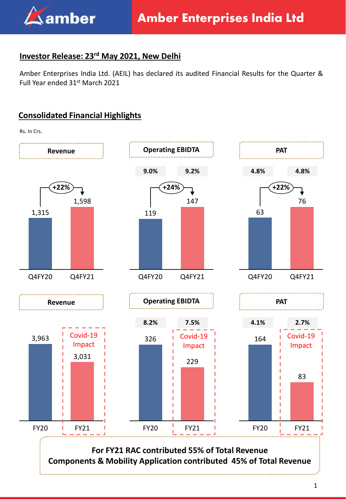

## **Investor Release: 23rd May 2021, New Delhi**

Amber Enterprises India Ltd. (AEIL) has declared its audited Financial Results for the Quarter & Full Year ended 31st March 2021

## **Consolidated Financial Highlights**

Rs. In Crs.

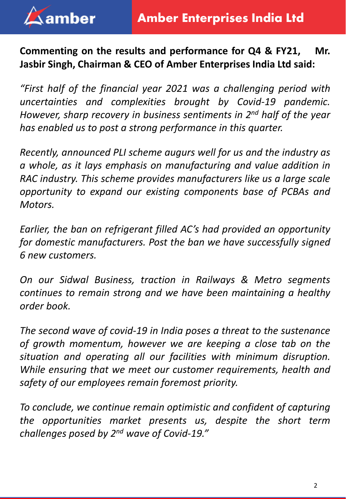

# **Commenting on the results and performance for Q4 & FY21, Mr. Jasbir Singh, Chairman & CEO of Amber Enterprises India Ltd said:**

*"First half of the financial year 2021 was a challenging period with uncertainties and complexities brought by Covid-19 pandemic. However, sharp recovery in business sentiments in 2 nd half of the year has enabled us to post a strong performance in this quarter.*

*Recently, announced PLI scheme augurs well for us and the industry as a whole, as it lays emphasis on manufacturing and value addition in RAC industry. This scheme provides manufacturers like us a large scale opportunity to expand our existing components base of PCBAs and Motors.*

*Earlier, the ban on refrigerant filled AC's had provided an opportunity for domestic manufacturers. Post the ban we have successfully signed 6 new customers.*

*On our Sidwal Business, traction in Railways & Metro segments continues to remain strong and we have been maintaining a healthy order book.*

*The second wave of covid-19 in India poses a threat to the sustenance of growth momentum, however we are keeping a close tab on the situation and operating all our facilities with minimum disruption. While ensuring that we meet our customer requirements, health and safety of our employees remain foremost priority.*

*To conclude, we continue remain optimistic and confident of capturing the opportunities market presents us, despite the short term challenges posed by 2 nd wave of Covid-19."*